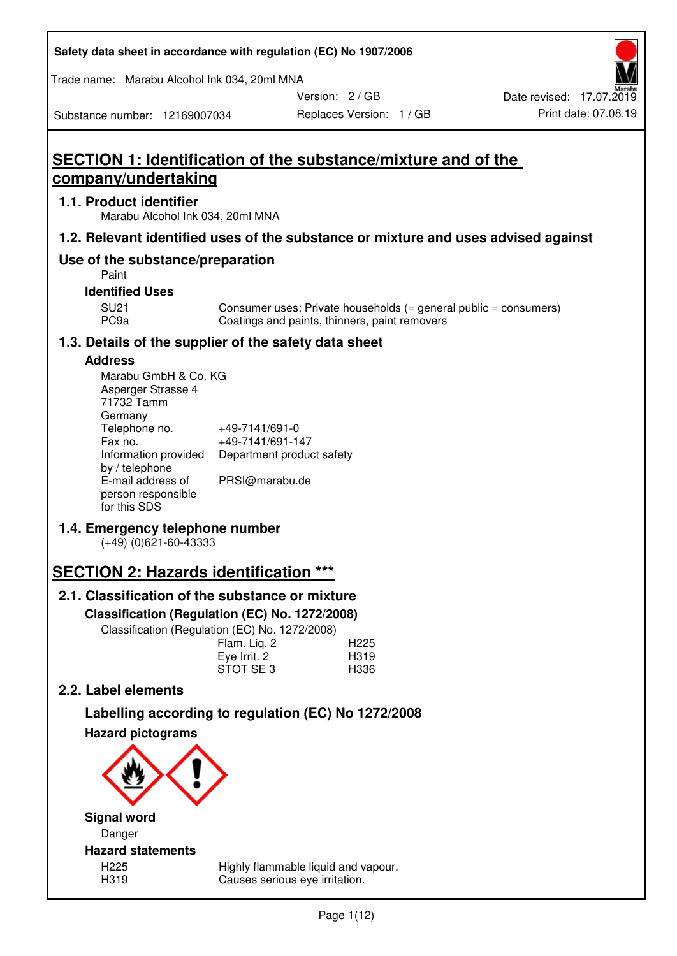| Safety data sheet in accordance with regulation (EC) No 1907/2006 |  |
|-------------------------------------------------------------------|--|
|-------------------------------------------------------------------|--|

Trade name: Marabu Alcohol Ink 034, 20ml MNA

Version: 2 / GB

Replaces Version: 1 / GB Print date: 07.08.19 Date revised: 17.07.2019

Substance number: 12169007034

# **SECTION 1: Identification of the substance/mixture and of the company/undertaking**

## **1.1. Product identifier**

Marabu Alcohol Ink 034, 20ml MNA

## **1.2. Relevant identified uses of the substance or mixture and uses advised against**

## **Use of the substance/preparation**

Paint

## **Identified Uses**

SU21 Consumer uses: Private households (= general public = consumers)<br>PC9a Coatings and paints, thinners, paint removers Coatings and paints, thinners, paint removers

## **1.3. Details of the supplier of the safety data sheet**

### **Address**

| Marabu GmbH & Co. KG |                           |
|----------------------|---------------------------|
| Asperger Strasse 4   |                           |
| 71732 Tamm           |                           |
| Germany              |                           |
| Telephone no.        | +49-7141/691-0            |
| Fax no.              | +49-7141/691-147          |
| Information provided | Department product safety |
| by / telephone       |                           |
| E-mail address of    | PRSI@marabu.de            |
| person responsible   |                           |
| for this SDS         |                           |

## **1.4. Emergency telephone number**

(+49) (0)621-60-43333

# **SECTION 2: Hazards identification \*\*\***

## **2.1. Classification of the substance or mixture**

**Classification (Regulation (EC) No. 1272/2008)** 

Classification (Regulation (EC) No. 1272/2008)

|              | . |                  |
|--------------|---|------------------|
| Flam. Liq. 2 |   | H <sub>225</sub> |
| Eye Irrit. 2 |   | H319             |
| STOT SE3     |   | H336             |
|              |   |                  |

## **2.2. Label elements**

# **Labelling according to regulation (EC) No 1272/2008**



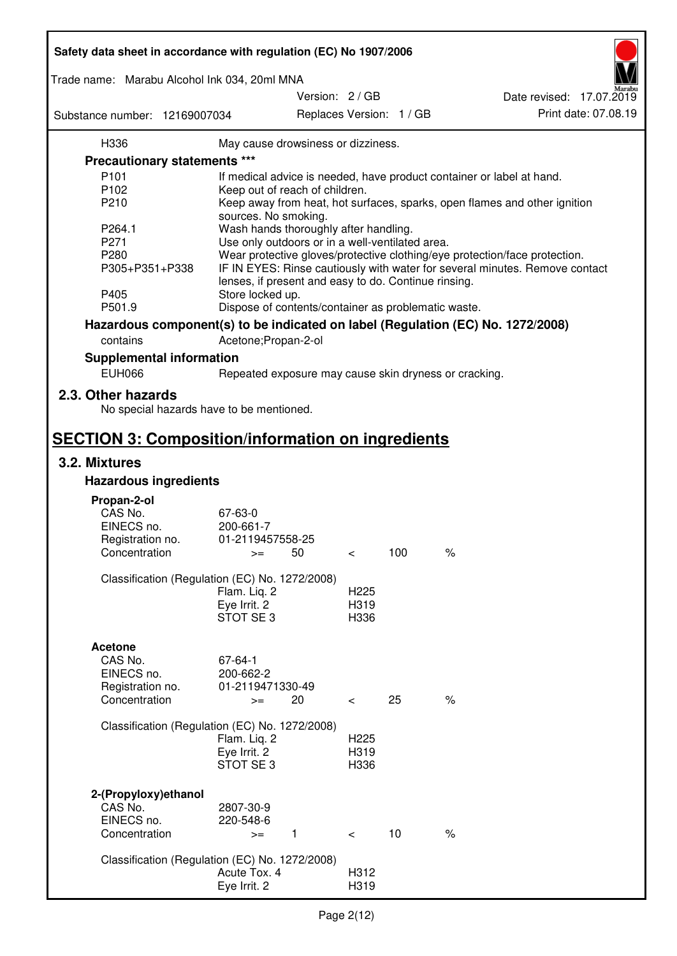| Safety data sheet in accordance with regulation (EC) No 1907/2006 |                                                       |                          |     |                                                                                 |
|-------------------------------------------------------------------|-------------------------------------------------------|--------------------------|-----|---------------------------------------------------------------------------------|
| Trade name: Marabu Alcohol Ink 034, 20ml MNA                      |                                                       |                          |     |                                                                                 |
|                                                                   |                                                       | Version: 2 / GB          |     | Date revised: 17.07.2019                                                        |
| Substance number: 12169007034                                     |                                                       | Replaces Version: 1 / GB |     | Print date: 07.08.19                                                            |
| H336                                                              | May cause drowsiness or dizziness.                    |                          |     |                                                                                 |
| Precautionary statements ***                                      |                                                       |                          |     |                                                                                 |
| P <sub>101</sub>                                                  |                                                       |                          |     | If medical advice is needed, have product container or label at hand.           |
| P102                                                              | Keep out of reach of children.                        |                          |     |                                                                                 |
| P210                                                              |                                                       |                          |     | Keep away from heat, hot surfaces, sparks, open flames and other ignition       |
|                                                                   | sources. No smoking.                                  |                          |     |                                                                                 |
| P264.1                                                            | Wash hands thoroughly after handling.                 |                          |     |                                                                                 |
| P271                                                              | Use only outdoors or in a well-ventilated area.       |                          |     |                                                                                 |
| P280                                                              |                                                       |                          |     | Wear protective gloves/protective clothing/eye protection/face protection.      |
| P305+P351+P338                                                    | lenses, if present and easy to do. Continue rinsing.  |                          |     | IF IN EYES: Rinse cautiously with water for several minutes. Remove contact     |
| P405                                                              | Store locked up.                                      |                          |     |                                                                                 |
| P501.9                                                            | Dispose of contents/container as problematic waste.   |                          |     |                                                                                 |
|                                                                   |                                                       |                          |     | Hazardous component(s) to be indicated on label (Regulation (EC) No. 1272/2008) |
| contains                                                          | Acetone; Propan-2-ol                                  |                          |     |                                                                                 |
| <b>Supplemental information</b>                                   |                                                       |                          |     |                                                                                 |
| <b>EUH066</b>                                                     | Repeated exposure may cause skin dryness or cracking. |                          |     |                                                                                 |
| 2.3. Other hazards<br>No special hazards have to be mentioned.    |                                                       |                          |     |                                                                                 |
| <b>SECTION 3: Composition/information on ingredients</b>          |                                                       |                          |     |                                                                                 |
| 3.2. Mixtures                                                     |                                                       |                          |     |                                                                                 |
| <b>Hazardous ingredients</b>                                      |                                                       |                          |     |                                                                                 |
|                                                                   |                                                       |                          |     |                                                                                 |
| Propan-2-ol<br>CAS No.                                            | 67-63-0                                               |                          |     |                                                                                 |
| EINECS no.                                                        | 200-661-7                                             |                          |     |                                                                                 |
| Registration no.                                                  | 01-2119457558-25                                      |                          |     |                                                                                 |
| Concentration                                                     | 50<br>$>=$                                            | $\,<\,$                  | 100 | $\%$                                                                            |
|                                                                   |                                                       |                          |     |                                                                                 |
|                                                                   | Classification (Regulation (EC) No. 1272/2008)        |                          |     |                                                                                 |
|                                                                   | Flam. Liq. 2                                          | H <sub>225</sub>         |     |                                                                                 |
|                                                                   | Eye Irrit. 2<br>STOT SE3                              | H319<br>H336             |     |                                                                                 |
|                                                                   |                                                       |                          |     |                                                                                 |
| <b>Acetone</b>                                                    |                                                       |                          |     |                                                                                 |
| CAS No.                                                           | 67-64-1                                               |                          |     |                                                                                 |
| EINECS no.                                                        | 200-662-2                                             |                          |     |                                                                                 |
| Registration no.                                                  | 01-2119471330-49                                      |                          |     |                                                                                 |
| Concentration                                                     | 20<br>$>=$                                            | $\overline{\phantom{0}}$ | 25  | $\%$                                                                            |
|                                                                   |                                                       |                          |     |                                                                                 |
|                                                                   | Classification (Regulation (EC) No. 1272/2008)        |                          |     |                                                                                 |
|                                                                   | Flam. Liq. 2                                          | H <sub>225</sub>         |     |                                                                                 |
|                                                                   | Eye Irrit. 2                                          | H319                     |     |                                                                                 |
|                                                                   | STOT SE3                                              | H336                     |     |                                                                                 |
|                                                                   |                                                       |                          |     |                                                                                 |
| 2-(Propyloxy) ethanol<br>CAS No.                                  |                                                       |                          |     |                                                                                 |
| EINECS no.                                                        | 2807-30-9<br>220-548-6                                |                          |     |                                                                                 |
| Concentration                                                     | $\mathbf{1}$<br>$>=$                                  | $\prec$                  | 10  | $\%$                                                                            |
|                                                                   |                                                       |                          |     |                                                                                 |
|                                                                   | Classification (Regulation (EC) No. 1272/2008)        |                          |     |                                                                                 |
|                                                                   | Acute Tox. 4                                          | H312                     |     |                                                                                 |
|                                                                   | Eye Irrit. 2                                          | H319                     |     |                                                                                 |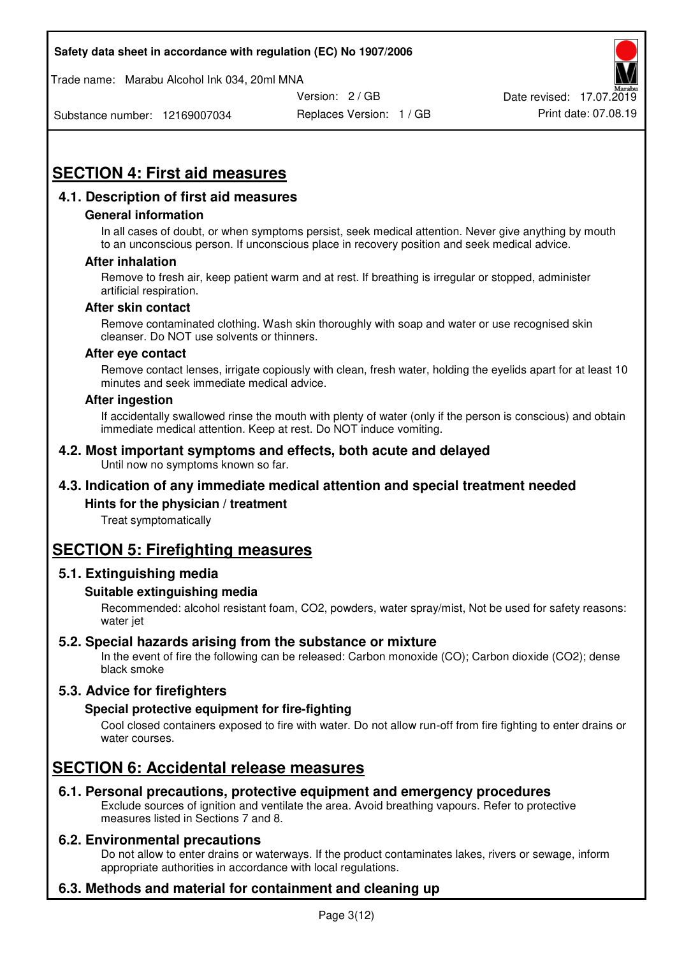Trade name: Marabu Alcohol Ink 034, 20ml MNA



Substance number: 12169007034

Replaces Version: 1 / GB Print date: 07.08.19

# **SECTION 4: First aid measures**

## **4.1. Description of first aid measures**

#### **General information**

In all cases of doubt, or when symptoms persist, seek medical attention. Never give anything by mouth to an unconscious person. If unconscious place in recovery position and seek medical advice.

#### **After inhalation**

Remove to fresh air, keep patient warm and at rest. If breathing is irregular or stopped, administer artificial respiration.

#### **After skin contact**

Remove contaminated clothing. Wash skin thoroughly with soap and water or use recognised skin cleanser. Do NOT use solvents or thinners.

#### **After eye contact**

Remove contact lenses, irrigate copiously with clean, fresh water, holding the eyelids apart for at least 10 minutes and seek immediate medical advice.

#### **After ingestion**

If accidentally swallowed rinse the mouth with plenty of water (only if the person is conscious) and obtain immediate medical attention. Keep at rest. Do NOT induce vomiting.

#### **4.2. Most important symptoms and effects, both acute and delayed**  Until now no symptoms known so far.

## **4.3. Indication of any immediate medical attention and special treatment needed**

#### **Hints for the physician / treatment**

Treat symptomatically

## **SECTION 5: Firefighting measures**

#### **5.1. Extinguishing media**

#### **Suitable extinguishing media**

Recommended: alcohol resistant foam, CO2, powders, water spray/mist, Not be used for safety reasons: water jet

#### **5.2. Special hazards arising from the substance or mixture**

In the event of fire the following can be released: Carbon monoxide (CO); Carbon dioxide (CO2); dense black smoke

## **5.3. Advice for firefighters**

#### **Special protective equipment for fire-fighting**

Cool closed containers exposed to fire with water. Do not allow run-off from fire fighting to enter drains or water courses.

## **SECTION 6: Accidental release measures**

#### **6.1. Personal precautions, protective equipment and emergency procedures**

Exclude sources of ignition and ventilate the area. Avoid breathing vapours. Refer to protective measures listed in Sections 7 and 8.

#### **6.2. Environmental precautions**

Do not allow to enter drains or waterways. If the product contaminates lakes, rivers or sewage, inform appropriate authorities in accordance with local regulations.

## **6.3. Methods and material for containment and cleaning up**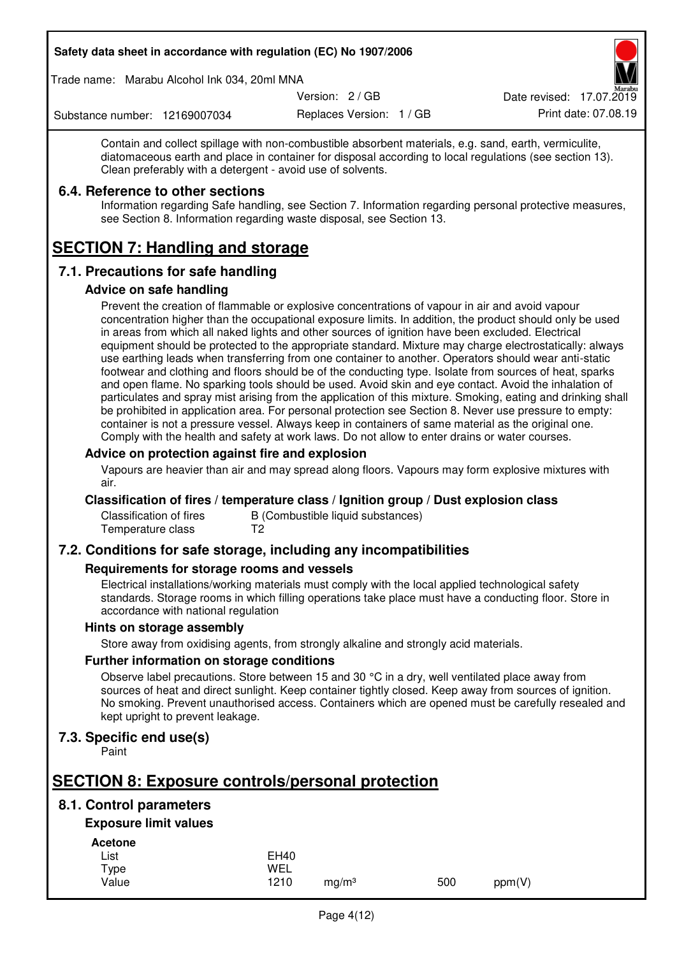Trade name: Marabu Alcohol Ink 034, 20ml MNA

Version: 2 / GB

Replaces Version: 1 / GB Print date: 07.08.19 Date revised: 17.07.2019

Substance number: 12169007034

Contain and collect spillage with non-combustible absorbent materials, e.g. sand, earth, vermiculite, diatomaceous earth and place in container for disposal according to local regulations (see section 13). Clean preferably with a detergent - avoid use of solvents.

## **6.4. Reference to other sections**

Information regarding Safe handling, see Section 7. Information regarding personal protective measures, see Section 8. Information regarding waste disposal, see Section 13.

# **SECTION 7: Handling and storage**

## **7.1. Precautions for safe handling**

#### **Advice on safe handling**

Prevent the creation of flammable or explosive concentrations of vapour in air and avoid vapour concentration higher than the occupational exposure limits. In addition, the product should only be used in areas from which all naked lights and other sources of ignition have been excluded. Electrical equipment should be protected to the appropriate standard. Mixture may charge electrostatically: always use earthing leads when transferring from one container to another. Operators should wear anti-static footwear and clothing and floors should be of the conducting type. Isolate from sources of heat, sparks and open flame. No sparking tools should be used. Avoid skin and eye contact. Avoid the inhalation of particulates and spray mist arising from the application of this mixture. Smoking, eating and drinking shall be prohibited in application area. For personal protection see Section 8. Never use pressure to empty: container is not a pressure vessel. Always keep in containers of same material as the original one. Comply with the health and safety at work laws. Do not allow to enter drains or water courses.

### **Advice on protection against fire and explosion**

Vapours are heavier than air and may spread along floors. Vapours may form explosive mixtures with air.

#### **Classification of fires / temperature class / Ignition group / Dust explosion class**

Classification of fires B (Combustible liquid substances)<br>Temperature class T2 Temperature class

## **7.2. Conditions for safe storage, including any incompatibilities**

#### **Requirements for storage rooms and vessels**

Electrical installations/working materials must comply with the local applied technological safety standards. Storage rooms in which filling operations take place must have a conducting floor. Store in accordance with national regulation

#### **Hints on storage assembly**

Store away from oxidising agents, from strongly alkaline and strongly acid materials.

#### **Further information on storage conditions**

Observe label precautions. Store between 15 and 30 °C in a dry, well ventilated place away from sources of heat and direct sunlight. Keep container tightly closed. Keep away from sources of ignition. No smoking. Prevent unauthorised access. Containers which are opened must be carefully resealed and kept upright to prevent leakage.

## **7.3. Specific end use(s)**

Paint

# **SECTION 8: Exposure controls/personal protection**

## **8.1. Control parameters**

## **Exposure limit values**

**Acetone** 

| List  | <b>EH40</b> |                   |     |        |
|-------|-------------|-------------------|-----|--------|
| Type  | WEL         |                   |     |        |
| Value | 1210        | mg/m <sup>3</sup> | 500 | ppm(V) |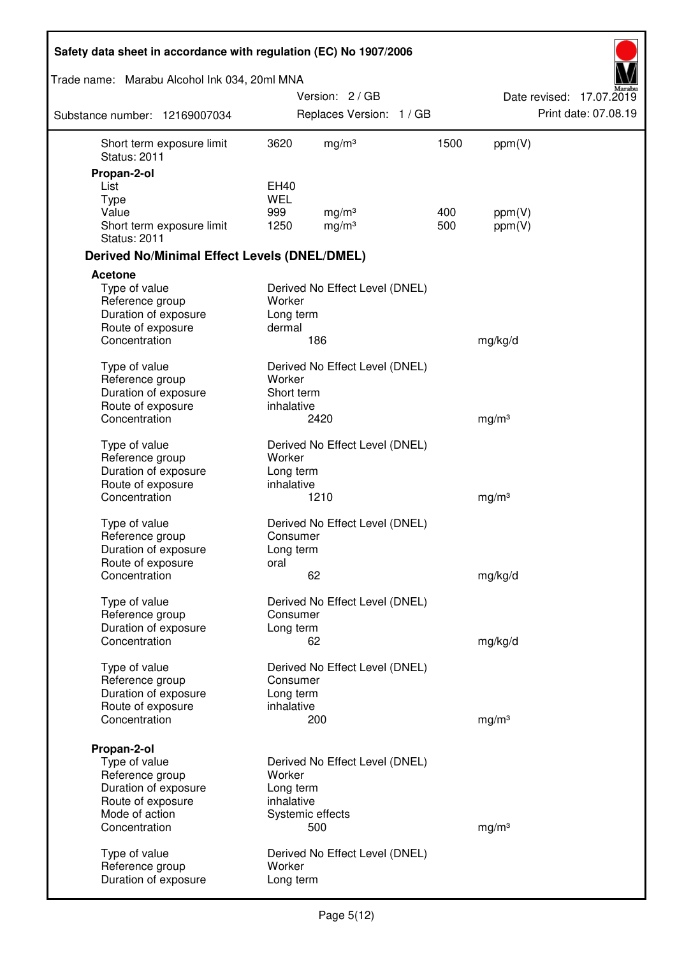| Safety data sheet in accordance with regulation (EC) No 1907/2006 |                    |                                |      |                   |                          |
|-------------------------------------------------------------------|--------------------|--------------------------------|------|-------------------|--------------------------|
| Trade name: Marabu Alcohol Ink 034, 20ml MNA                      |                    |                                |      |                   |                          |
|                                                                   |                    | Version: 2 / GB                |      |                   | Date revised: 17.07.2019 |
| Substance number: 12169007034                                     |                    | Replaces Version: 1 / GB       |      |                   | Print date: 07.08.19     |
| Short term exposure limit<br><b>Status: 2011</b>                  | 3620               | mg/m <sup>3</sup>              | 1500 | ppm(V)            |                          |
| Propan-2-ol                                                       |                    |                                |      |                   |                          |
| List                                                              | EH40<br><b>WEL</b> |                                |      |                   |                          |
| <b>Type</b><br>Value                                              | 999                | mg/m <sup>3</sup>              | 400  | ppm(V)            |                          |
| Short term exposure limit<br><b>Status: 2011</b>                  | 1250               | mg/m <sup>3</sup>              | 500  | ppm(V)            |                          |
| <b>Derived No/Minimal Effect Levels (DNEL/DMEL)</b>               |                    |                                |      |                   |                          |
| <b>Acetone</b>                                                    |                    |                                |      |                   |                          |
| Type of value                                                     |                    | Derived No Effect Level (DNEL) |      |                   |                          |
| Reference group                                                   | Worker             |                                |      |                   |                          |
| Duration of exposure                                              | Long term          |                                |      |                   |                          |
| Route of exposure<br>Concentration                                | dermal             | 186                            |      | mg/kg/d           |                          |
|                                                                   |                    |                                |      |                   |                          |
| Type of value                                                     |                    | Derived No Effect Level (DNEL) |      |                   |                          |
| Reference group                                                   | Worker             |                                |      |                   |                          |
| Duration of exposure                                              | Short term         |                                |      |                   |                          |
| Route of exposure                                                 | inhalative         |                                |      |                   |                          |
| Concentration                                                     |                    | 2420                           |      | mg/m <sup>3</sup> |                          |
| Type of value                                                     |                    | Derived No Effect Level (DNEL) |      |                   |                          |
| Reference group                                                   | Worker             |                                |      |                   |                          |
| Duration of exposure                                              | Long term          |                                |      |                   |                          |
| Route of exposure                                                 | inhalative         |                                |      |                   |                          |
| Concentration                                                     |                    | 1210                           |      | mg/m <sup>3</sup> |                          |
| Type of value                                                     |                    | Derived No Effect Level (DNEL) |      |                   |                          |
| Reference group                                                   | Consumer           |                                |      |                   |                          |
| Duration of exposure                                              | Long term          |                                |      |                   |                          |
| Route of exposure                                                 | oral               |                                |      |                   |                          |
| Concentration                                                     |                    | 62                             |      | mg/kg/d           |                          |
| Type of value                                                     |                    | Derived No Effect Level (DNEL) |      |                   |                          |
| Reference group                                                   | Consumer           |                                |      |                   |                          |
| Duration of exposure                                              | Long term          |                                |      |                   |                          |
| Concentration                                                     |                    | 62                             |      | mg/kg/d           |                          |
| Type of value                                                     |                    | Derived No Effect Level (DNEL) |      |                   |                          |
| Reference group                                                   | Consumer           |                                |      |                   |                          |
| Duration of exposure                                              | Long term          |                                |      |                   |                          |
| Route of exposure                                                 | inhalative         |                                |      |                   |                          |
| Concentration                                                     |                    | 200                            |      | mg/m <sup>3</sup> |                          |
|                                                                   |                    |                                |      |                   |                          |
| Propan-2-ol<br>Type of value                                      |                    | Derived No Effect Level (DNEL) |      |                   |                          |
| Reference group                                                   | Worker             |                                |      |                   |                          |
| Duration of exposure                                              | Long term          |                                |      |                   |                          |
| Route of exposure                                                 | inhalative         |                                |      |                   |                          |
| Mode of action                                                    |                    | Systemic effects               |      |                   |                          |
| Concentration                                                     |                    | 500                            |      | mg/m <sup>3</sup> |                          |
| Type of value                                                     |                    | Derived No Effect Level (DNEL) |      |                   |                          |
| Reference group                                                   | Worker             |                                |      |                   |                          |
| Duration of exposure                                              | Long term          |                                |      |                   |                          |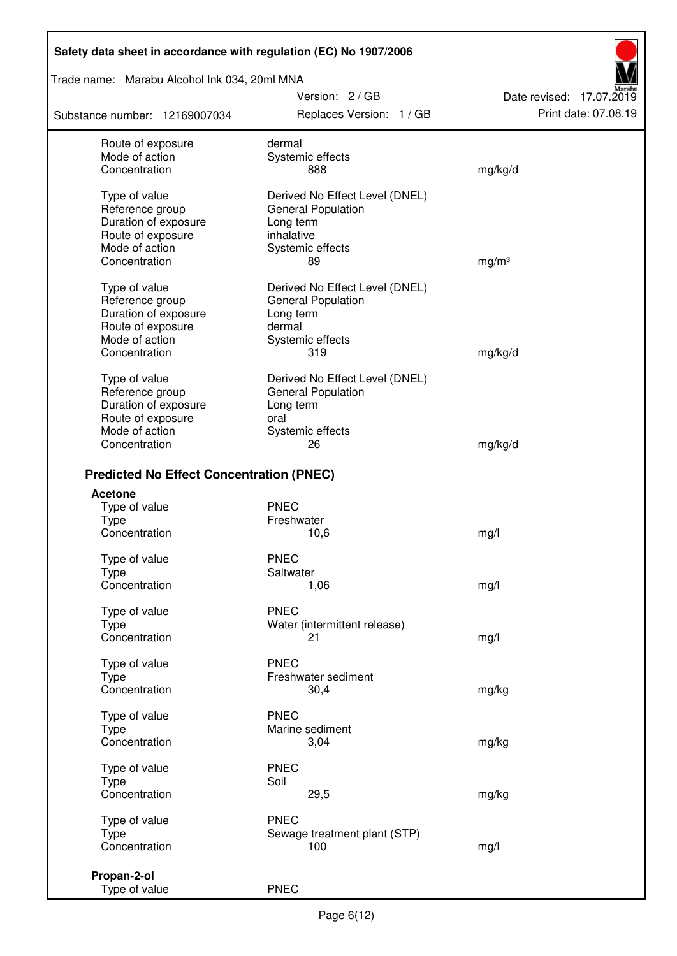Trade name: Marabu Alcohol Ink 034, 20ml MNA

Substance number: 12169007034

Version: 2 / GB Replaces Version: 1 / GB Print date: 07.08.19

Date revised: 17.07.2019

| Route of exposure                               | dermal                         |                   |
|-------------------------------------------------|--------------------------------|-------------------|
| Mode of action                                  | Systemic effects               |                   |
| Concentration                                   | 888                            | mg/kg/d           |
| Type of value                                   | Derived No Effect Level (DNEL) |                   |
| Reference group                                 | <b>General Population</b>      |                   |
| Duration of exposure                            | Long term                      |                   |
| Route of exposure                               | inhalative                     |                   |
| Mode of action                                  | Systemic effects               |                   |
| Concentration                                   | 89                             | mg/m <sup>3</sup> |
| Type of value                                   | Derived No Effect Level (DNEL) |                   |
| Reference group                                 | <b>General Population</b>      |                   |
| Duration of exposure                            | Long term                      |                   |
| Route of exposure                               | dermal                         |                   |
| Mode of action                                  | Systemic effects               |                   |
| Concentration                                   | 319                            | mg/kg/d           |
|                                                 |                                |                   |
| Type of value                                   | Derived No Effect Level (DNEL) |                   |
| Reference group                                 | <b>General Population</b>      |                   |
| Duration of exposure                            | Long term                      |                   |
| Route of exposure                               | oral                           |                   |
| Mode of action<br>Concentration                 | Systemic effects<br>26         | mg/kg/d           |
|                                                 |                                |                   |
| <b>Predicted No Effect Concentration (PNEC)</b> |                                |                   |
| <b>Acetone</b>                                  |                                |                   |
| Type of value                                   | <b>PNEC</b>                    |                   |
| <b>Type</b>                                     | Freshwater                     |                   |
| Concentration                                   | 10,6                           | mg/l              |
| Type of value                                   | <b>PNEC</b>                    |                   |
| <b>Type</b>                                     | Saltwater                      |                   |
| Concentration                                   | 1,06                           | mg/l              |
| Type of value                                   | <b>PNEC</b>                    |                   |
| Type                                            | Water (intermittent release)   |                   |
| Concentration                                   | 21                             | mg/l              |
|                                                 |                                |                   |
| Type of value                                   | <b>PNEC</b>                    |                   |
| Type<br>Concentration                           | Freshwater sediment            |                   |
|                                                 | 30,4                           | mg/kg             |
| Type of value                                   | <b>PNEC</b>                    |                   |
| Type                                            | Marine sediment                |                   |
| Concentration                                   | 3,04                           | mg/kg             |
| Type of value                                   | <b>PNEC</b>                    |                   |
| <b>Type</b>                                     | Soil                           |                   |
| Concentration                                   | 29,5                           | mg/kg             |
| Type of value                                   | <b>PNEC</b>                    |                   |
| Type                                            | Sewage treatment plant (STP)   |                   |
| Concentration                                   | 100                            | mg/l              |
|                                                 |                                |                   |
| Propan-2-ol<br>Type of value                    | <b>PNEC</b>                    |                   |
|                                                 |                                |                   |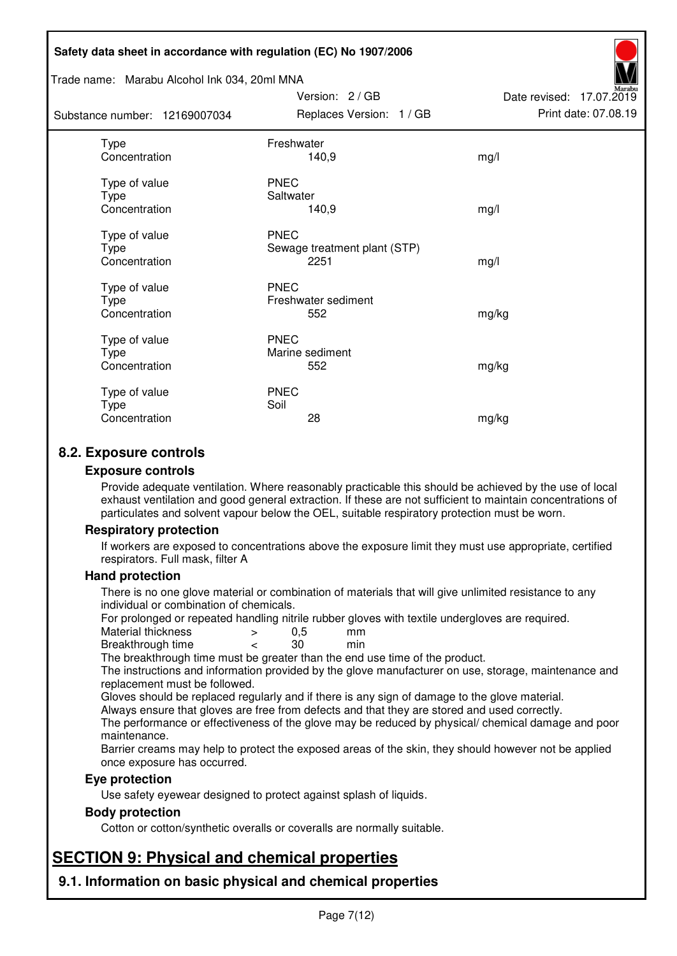#### Trade name: Marabu Alcohol Ink 034, 20ml MNA

| Substance number: 12169007034          | Replaces Version: 1 / GB                            | Print date: 07.08.19 |
|----------------------------------------|-----------------------------------------------------|----------------------|
| Type<br>Concentration                  | Freshwater<br>140,9                                 | mg/l                 |
| Type of value<br>Type<br>Concentration | <b>PNEC</b><br>Saltwater<br>140,9                   | mg/l                 |
| Type of value<br>Type<br>Concentration | <b>PNEC</b><br>Sewage treatment plant (STP)<br>2251 | mg/l                 |
| Type of value<br>Type<br>Concentration | <b>PNEC</b><br>Freshwater sediment<br>552           | mg/kg                |
| Type of value<br>Type<br>Concentration | <b>PNEC</b><br>Marine sediment<br>552               | mg/kg                |
| Type of value<br>Type<br>Concentration | <b>PNEC</b><br>Soil<br>28                           | mg/kg                |

Version: 2 / GB

Date revised: 17.07.2019

## **8.2. Exposure controls**

#### **Exposure controls**

Provide adequate ventilation. Where reasonably practicable this should be achieved by the use of local exhaust ventilation and good general extraction. If these are not sufficient to maintain concentrations of particulates and solvent vapour below the OEL, suitable respiratory protection must be worn.

#### **Respiratory protection**

If workers are exposed to concentrations above the exposure limit they must use appropriate, certified respirators. Full mask, filter A

#### **Hand protection**

There is no one glove material or combination of materials that will give unlimited resistance to any individual or combination of chemicals.

For prolonged or repeated handling nitrile rubber gloves with textile undergloves are required.<br>Material thickness  $\geq 0.5$  mm

- Material thickness  $\begin{array}{ccc} 0.5 \\ -8.5 \end{array}$  Material thickness  $\begin{array}{ccc} 0.5 \\ -8.5 \end{array}$
- Breakthrough time < 30 min

The breakthrough time must be greater than the end use time of the product.

The instructions and information provided by the glove manufacturer on use, storage, maintenance and replacement must be followed.

Gloves should be replaced regularly and if there is any sign of damage to the glove material.

Always ensure that gloves are free from defects and that they are stored and used correctly.

The performance or effectiveness of the glove may be reduced by physical/ chemical damage and poor maintenance.

Barrier creams may help to protect the exposed areas of the skin, they should however not be applied once exposure has occurred.

#### **Eye protection**

Use safety eyewear designed to protect against splash of liquids.

#### **Body protection**

Cotton or cotton/synthetic overalls or coveralls are normally suitable.

# **SECTION 9: Physical and chemical properties**

**9.1. Information on basic physical and chemical properties**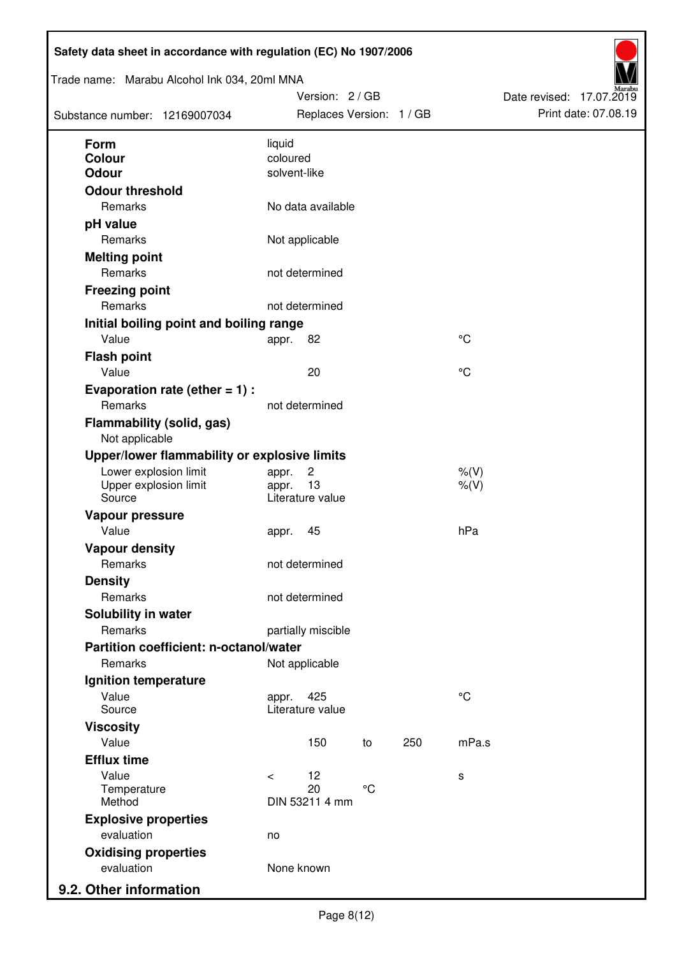| Trade name: Marabu Alcohol Ink 034, 20ml MNA<br>Substance number: 12169007034 |                          | Version: 2 / GB<br>Replaces Version: 1 / GB |                 |     |                        | Date revised: 17.07.2019 | Print date: 07.08.19 |
|-------------------------------------------------------------------------------|--------------------------|---------------------------------------------|-----------------|-----|------------------------|--------------------------|----------------------|
| <b>Form</b>                                                                   | liquid                   |                                             |                 |     |                        |                          |                      |
| Colour<br><b>Odour</b>                                                        | coloured<br>solvent-like |                                             |                 |     |                        |                          |                      |
| <b>Odour threshold</b>                                                        |                          |                                             |                 |     |                        |                          |                      |
| Remarks                                                                       |                          | No data available                           |                 |     |                        |                          |                      |
| pH value                                                                      |                          |                                             |                 |     |                        |                          |                      |
| Remarks                                                                       |                          | Not applicable                              |                 |     |                        |                          |                      |
| <b>Melting point</b>                                                          |                          |                                             |                 |     |                        |                          |                      |
| Remarks                                                                       |                          | not determined                              |                 |     |                        |                          |                      |
| <b>Freezing point</b>                                                         |                          |                                             |                 |     |                        |                          |                      |
| Remarks                                                                       |                          | not determined                              |                 |     |                        |                          |                      |
| Initial boiling point and boiling range                                       |                          |                                             |                 |     |                        |                          |                      |
| Value                                                                         | appr.                    | 82                                          |                 |     | $\rm ^{\circ}C$        |                          |                      |
| <b>Flash point</b>                                                            |                          |                                             |                 |     |                        |                          |                      |
| Value                                                                         |                          | 20                                          |                 |     | °C                     |                          |                      |
| Evaporation rate (ether $= 1$ ) :                                             |                          |                                             |                 |     |                        |                          |                      |
| Remarks                                                                       |                          | not determined                              |                 |     |                        |                          |                      |
| <b>Flammability (solid, gas)</b><br>Not applicable                            |                          |                                             |                 |     |                        |                          |                      |
| Upper/lower flammability or explosive limits                                  |                          |                                             |                 |     |                        |                          |                      |
| Lower explosion limit<br>Upper explosion limit<br>Source                      | appr.<br>appr.           | $\overline{c}$<br>13<br>Literature value    |                 |     | $%$ $(V)$<br>$%$ $(V)$ |                          |                      |
| Vapour pressure                                                               |                          |                                             |                 |     |                        |                          |                      |
| Value                                                                         | appr.                    | 45                                          |                 |     | hPa                    |                          |                      |
| <b>Vapour density</b>                                                         |                          |                                             |                 |     |                        |                          |                      |
| Remarks                                                                       |                          | not determined                              |                 |     |                        |                          |                      |
| <b>Density</b>                                                                |                          |                                             |                 |     |                        |                          |                      |
| Remarks                                                                       |                          | not determined                              |                 |     |                        |                          |                      |
| Solubility in water                                                           |                          |                                             |                 |     |                        |                          |                      |
| Remarks                                                                       |                          | partially miscible                          |                 |     |                        |                          |                      |
| Partition coefficient: n-octanol/water                                        |                          |                                             |                 |     |                        |                          |                      |
| Remarks                                                                       |                          | Not applicable                              |                 |     |                        |                          |                      |
| Ignition temperature                                                          |                          |                                             |                 |     |                        |                          |                      |
| Value<br>Source                                                               | appr.                    | 425<br>Literature value                     |                 |     | $^{\circ}C$            |                          |                      |
| <b>Viscosity</b>                                                              |                          |                                             |                 |     |                        |                          |                      |
| Value                                                                         |                          | 150                                         | to              | 250 | mPa.s                  |                          |                      |
| <b>Efflux time</b>                                                            |                          |                                             |                 |     |                        |                          |                      |
| Value                                                                         | $\prec$                  | 12                                          |                 |     | s                      |                          |                      |
| Temperature<br>Method                                                         |                          | 20<br>DIN 53211 4 mm                        | $\rm ^{\circ}C$ |     |                        |                          |                      |
| <b>Explosive properties</b>                                                   |                          |                                             |                 |     |                        |                          |                      |
| evaluation                                                                    | no                       |                                             |                 |     |                        |                          |                      |
| <b>Oxidising properties</b>                                                   |                          |                                             |                 |     |                        |                          |                      |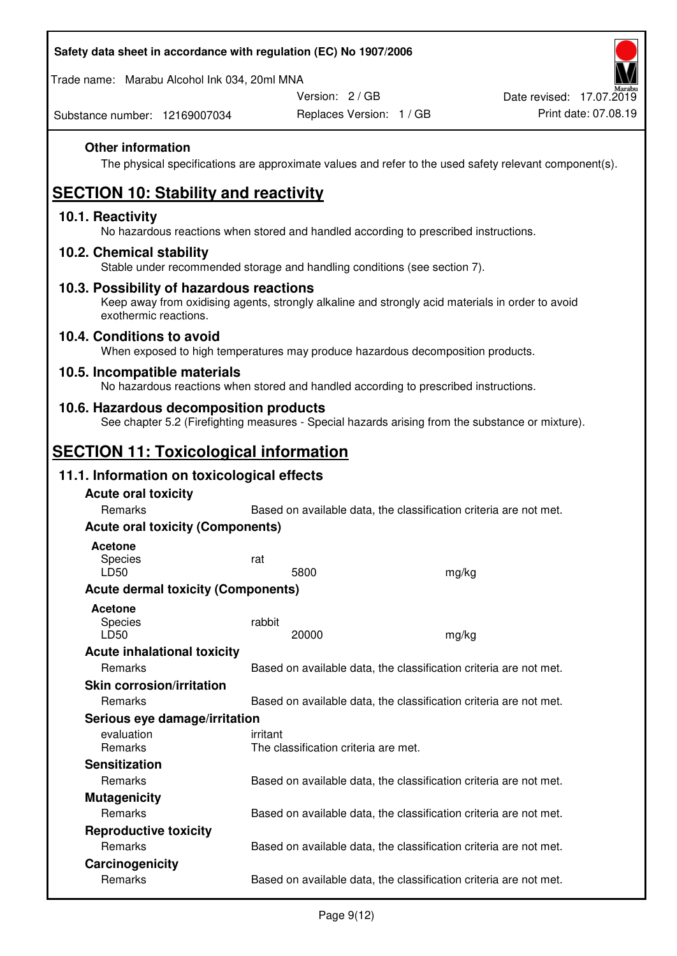Trade name: Marabu Alcohol Ink 034, 20ml MNA

Version: 2 / GB

Substance number: 12169007034

## **Other information**

The physical specifications are approximate values and refer to the used safety relevant component(s).

# **SECTION 10: Stability and reactivity**

#### **10.1. Reactivity**

No hazardous reactions when stored and handled according to prescribed instructions.

#### **10.2. Chemical stability**

Stable under recommended storage and handling conditions (see section 7).

#### **10.3. Possibility of hazardous reactions**

Keep away from oxidising agents, strongly alkaline and strongly acid materials in order to avoid exothermic reactions.

#### **10.4. Conditions to avoid**

When exposed to high temperatures may produce hazardous decomposition products.

#### **10.5. Incompatible materials**

No hazardous reactions when stored and handled according to prescribed instructions.

### **10.6. Hazardous decomposition products**

See chapter 5.2 (Firefighting measures - Special hazards arising from the substance or mixture).

## **SECTION 11: Toxicological information**

### **11.1. Information on toxicological effects**

| <b>Acute oral toxicity</b><br><b>Remarks</b> | Based on available data, the classification criteria are not met. |       |
|----------------------------------------------|-------------------------------------------------------------------|-------|
| <b>Acute oral toxicity (Components)</b>      |                                                                   |       |
| <b>Acetone</b>                               |                                                                   |       |
| Species<br>LD50                              | rat<br>5800                                                       | mg/kg |
| <b>Acute dermal toxicity (Components)</b>    |                                                                   |       |
| Acetone<br>Species<br>LD50                   | rabbit<br>20000                                                   | mg/kg |
| <b>Acute inhalational toxicity</b>           |                                                                   |       |
| <b>Remarks</b>                               | Based on available data, the classification criteria are not met. |       |
| <b>Skin corrosion/irritation</b>             |                                                                   |       |
| Remarks                                      | Based on available data, the classification criteria are not met. |       |
| Serious eye damage/irritation                |                                                                   |       |
| evaluation<br><b>Remarks</b>                 | irritant<br>The classification criteria are met.                  |       |
| <b>Sensitization</b>                         |                                                                   |       |
| <b>Remarks</b>                               | Based on available data, the classification criteria are not met. |       |
| <b>Mutagenicity</b>                          |                                                                   |       |
| Remarks                                      | Based on available data, the classification criteria are not met. |       |
| <b>Reproductive toxicity</b>                 |                                                                   |       |
| Remarks                                      | Based on available data, the classification criteria are not met. |       |
| Carcinogenicity                              |                                                                   |       |
| Remarks                                      | Based on available data, the classification criteria are not met. |       |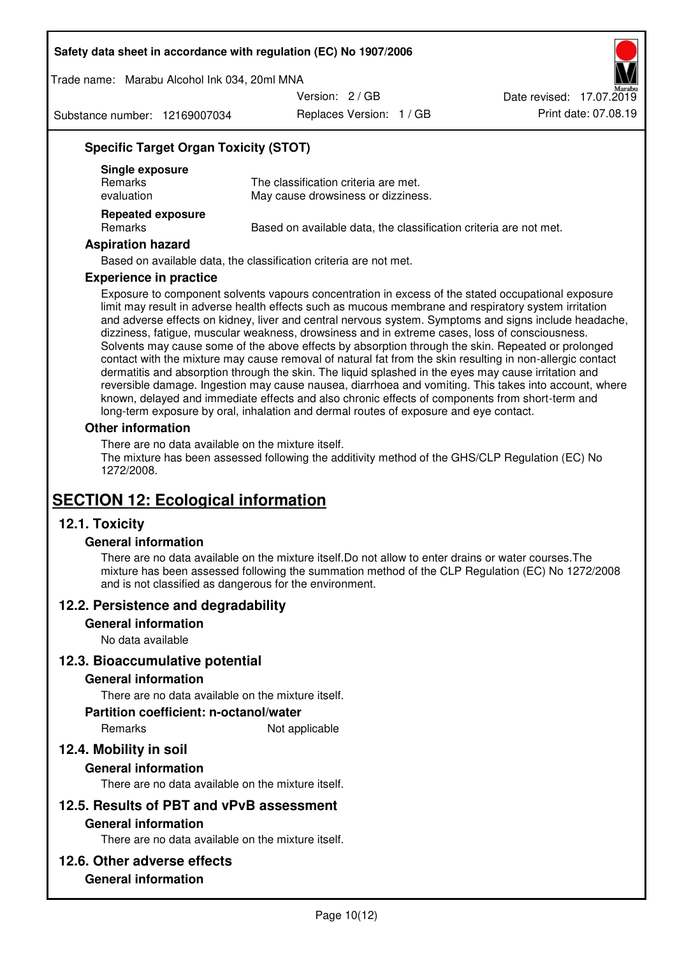Trade name: Marabu Alcohol Ink 034, 20ml MNA

Version: 2 / GB

Substance number: 12169007034

Replaces Version: 1 / GB Print date: 07.08.19 Date revised: 17.07.2019

## **Specific Target Organ Toxicity (STOT)**

| Single exposure<br><b>Remarks</b><br>evaluation | The classification criteria are met.<br>May cause drowsiness or dizziness. |
|-------------------------------------------------|----------------------------------------------------------------------------|
| <b>Repeated exposure</b><br>Remarks             | Based on available data, the classification criteria are not met.          |

#### **Aspiration hazard**

Based on available data, the classification criteria are not met.

#### **Experience in practice**

Exposure to component solvents vapours concentration in excess of the stated occupational exposure limit may result in adverse health effects such as mucous membrane and respiratory system irritation and adverse effects on kidney, liver and central nervous system. Symptoms and signs include headache, dizziness, fatigue, muscular weakness, drowsiness and in extreme cases, loss of consciousness. Solvents may cause some of the above effects by absorption through the skin. Repeated or prolonged contact with the mixture may cause removal of natural fat from the skin resulting in non-allergic contact dermatitis and absorption through the skin. The liquid splashed in the eyes may cause irritation and reversible damage. Ingestion may cause nausea, diarrhoea and vomiting. This takes into account, where known, delayed and immediate effects and also chronic effects of components from short-term and long-term exposure by oral, inhalation and dermal routes of exposure and eye contact.

#### **Other information**

There are no data available on the mixture itself. The mixture has been assessed following the additivity method of the GHS/CLP Regulation (EC) No 1272/2008.

## **SECTION 12: Ecological information**

## **12.1. Toxicity**

#### **General information**

There are no data available on the mixture itself.Do not allow to enter drains or water courses.The mixture has been assessed following the summation method of the CLP Regulation (EC) No 1272/2008 and is not classified as dangerous for the environment.

#### **12.2. Persistence and degradability**

#### **General information**

No data available

#### **12.3. Bioaccumulative potential**

#### **General information**

There are no data available on the mixture itself.

#### **Partition coefficient: n-octanol/water**

Remarks Not applicable

## **12.4. Mobility in soil**

#### **General information**

There are no data available on the mixture itself.

#### **12.5. Results of PBT and vPvB assessment**

#### **General information**

There are no data available on the mixture itself.

#### **12.6. Other adverse effects**

## **General information**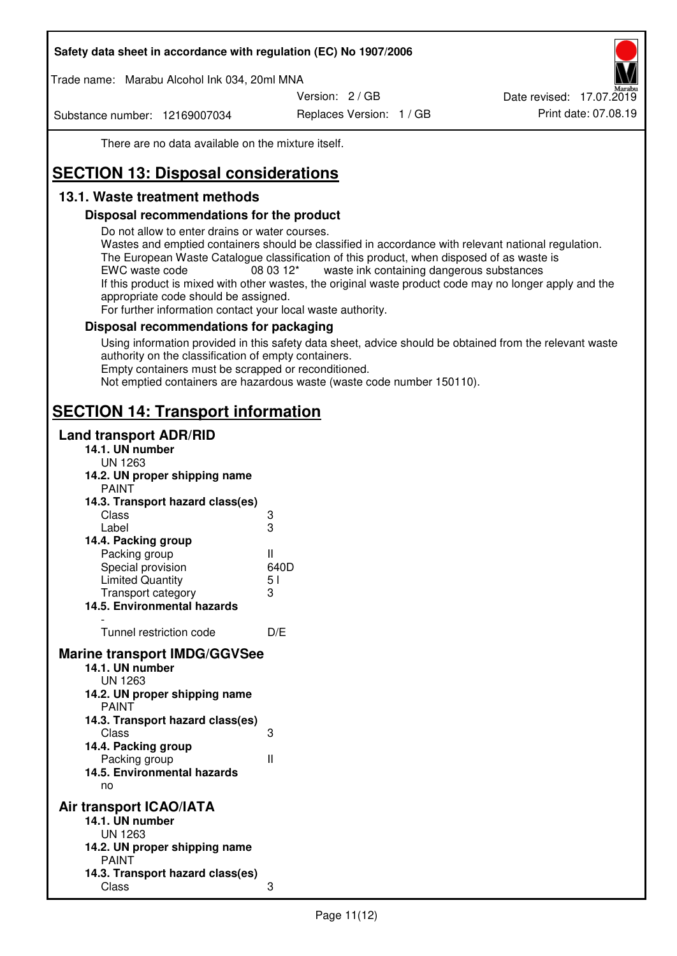Trade name: Marabu Alcohol Ink 034, 20ml MNA

Version: 2 / GB

Substance number: 12169007034

Replaces Version: 1 / GB Print date: 07.08.19 Date revised: 17.07.2019

There are no data available on the mixture itself.

# **SECTION 13: Disposal considerations**

## **13.1. Waste treatment methods**

### **Disposal recommendations for the product**

Do not allow to enter drains or water courses.

Wastes and emptied containers should be classified in accordance with relevant national regulation. The European Waste Catalogue classification of this product, when disposed of as waste is EWC waste code  $08\,03\,12^*$  waste ink containing dangerous substances If this product is mixed with other wastes, the original waste product code may no longer apply and the appropriate code should be assigned.

For further information contact your local waste authority.

### **Disposal recommendations for packaging**

Using information provided in this safety data sheet, advice should be obtained from the relevant waste authority on the classification of empty containers. Empty containers must be scrapped or reconditioned.

Not emptied containers are hazardous waste (waste code number 150110).

## **SECTION 14: Transport information**

#### **Land transport ADR/RID**

| 14.1. UN number<br><b>UN 1263</b>                                                                                                                                                                                                            |                   |
|----------------------------------------------------------------------------------------------------------------------------------------------------------------------------------------------------------------------------------------------|-------------------|
| 14.2. UN proper shipping name                                                                                                                                                                                                                |                   |
| <b>PAINT</b>                                                                                                                                                                                                                                 |                   |
| 14.3. Transport hazard class(es)                                                                                                                                                                                                             |                   |
| Class                                                                                                                                                                                                                                        |                   |
| Label                                                                                                                                                                                                                                        | ვ<br>ვ            |
| 14.4. Packing group                                                                                                                                                                                                                          |                   |
| Packing group                                                                                                                                                                                                                                | Ш                 |
| Special provision                                                                                                                                                                                                                            | 640D              |
| <b>Limited Quantity</b>                                                                                                                                                                                                                      | 5 <sub>1</sub>    |
| Transport category                                                                                                                                                                                                                           | 3                 |
| 14.5. Environmental hazards                                                                                                                                                                                                                  |                   |
| Tunnel restriction code                                                                                                                                                                                                                      | D/E               |
|                                                                                                                                                                                                                                              |                   |
| <b>Marine transport IMDG/GGVSee</b><br>14.1. UN number<br>UN 1263<br>14.2. UN proper shipping name<br><b>PAINT</b><br>14.3. Transport hazard class(es)<br>Class<br>14.4. Packing group<br>Packing group<br>14.5. Environmental hazards<br>no | 3<br>$\mathbf{I}$ |
| Air transport ICAO/IATA                                                                                                                                                                                                                      |                   |
| 14.1. UN number                                                                                                                                                                                                                              |                   |
| UN 1263                                                                                                                                                                                                                                      |                   |
| 14.2. UN proper shipping name<br><b>PAINT</b>                                                                                                                                                                                                |                   |
| 14.3. Transport hazard class(es)                                                                                                                                                                                                             |                   |
| Class                                                                                                                                                                                                                                        | 3                 |
|                                                                                                                                                                                                                                              |                   |